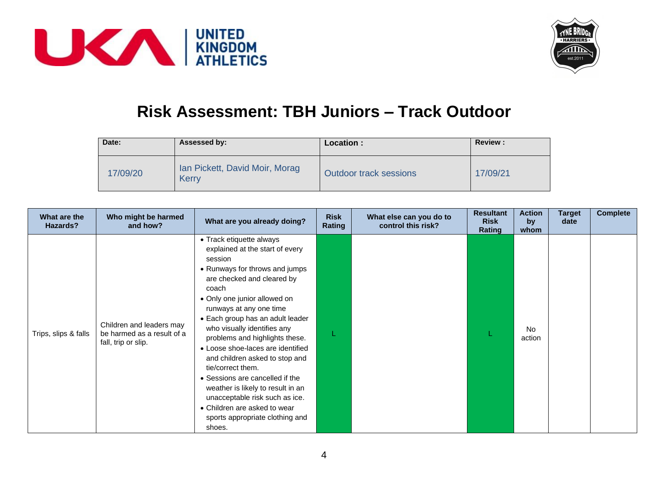



## **Risk Assessment: TBH Juniors – Track Outdoor**

| Date:    | Assessed by:                            | Location:                     | <b>Review:</b> |
|----------|-----------------------------------------|-------------------------------|----------------|
| 17/09/20 | Ian Pickett, David Moir, Morag<br>Kerry | <b>Outdoor track sessions</b> | 17/09/21       |

| What are the<br>Hazards? | Who might be harmed<br>and how?                                               | What are you already doing?                                                                                                                                                                                                                                                                                                                                                                                                                                                                                                                                                                        | <b>Risk</b><br>Rating | What else can you do to<br>control this risk? | <b>Resultant</b><br><b>Risk</b><br>Rating | <b>Action</b><br>by<br>whom | <b>Target</b><br>date | <b>Complete</b> |
|--------------------------|-------------------------------------------------------------------------------|----------------------------------------------------------------------------------------------------------------------------------------------------------------------------------------------------------------------------------------------------------------------------------------------------------------------------------------------------------------------------------------------------------------------------------------------------------------------------------------------------------------------------------------------------------------------------------------------------|-----------------------|-----------------------------------------------|-------------------------------------------|-----------------------------|-----------------------|-----------------|
| Trips, slips & falls     | Children and leaders may<br>be harmed as a result of a<br>fall, trip or slip. | • Track etiquette always<br>explained at the start of every<br>session<br>• Runways for throws and jumps<br>are checked and cleared by<br>coach<br>• Only one junior allowed on<br>runways at any one time<br>• Each group has an adult leader<br>who visually identifies any<br>problems and highlights these.<br>• Loose shoe-laces are identified<br>and children asked to stop and<br>tie/correct them.<br>• Sessions are cancelled if the<br>weather is likely to result in an<br>unacceptable risk such as ice.<br>• Children are asked to wear<br>sports appropriate clothing and<br>shoes. |                       |                                               |                                           | No.<br>action               |                       |                 |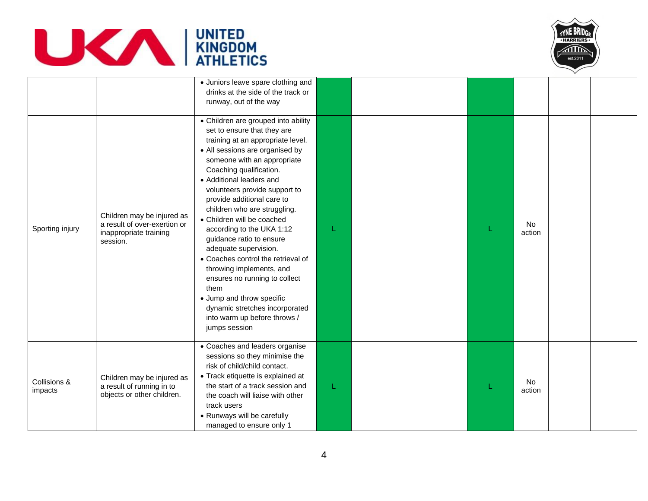



|                         |                                                                                                  | · Juniors leave spare clothing and<br>drinks at the side of the track or<br>runway, out of the way                                                                                                                                                                                                                                                                                                                                                                                                                                                                                                                                                                         |   |  |                     |  |
|-------------------------|--------------------------------------------------------------------------------------------------|----------------------------------------------------------------------------------------------------------------------------------------------------------------------------------------------------------------------------------------------------------------------------------------------------------------------------------------------------------------------------------------------------------------------------------------------------------------------------------------------------------------------------------------------------------------------------------------------------------------------------------------------------------------------------|---|--|---------------------|--|
| Sporting injury         | Children may be injured as<br>a result of over-exertion or<br>inappropriate training<br>session. | • Children are grouped into ability<br>set to ensure that they are<br>training at an appropriate level.<br>• All sessions are organised by<br>someone with an appropriate<br>Coaching qualification.<br>• Additional leaders and<br>volunteers provide support to<br>provide additional care to<br>children who are struggling.<br>• Children will be coached<br>according to the UKA 1:12<br>guidance ratio to ensure<br>adequate supervision.<br>• Coaches control the retrieval of<br>throwing implements, and<br>ensures no running to collect<br>them<br>• Jump and throw specific<br>dynamic stretches incorporated<br>into warm up before throws /<br>jumps session |   |  | <b>No</b><br>action |  |
| Collisions &<br>impacts | Children may be injured as<br>a result of running in to<br>objects or other children.            | • Coaches and leaders organise<br>sessions so they minimise the<br>risk of child/child contact.<br>• Track etiquette is explained at<br>the start of a track session and<br>the coach will liaise with other<br>track users<br>• Runways will be carefully<br>managed to ensure only 1                                                                                                                                                                                                                                                                                                                                                                                     | L |  | <b>No</b><br>action |  |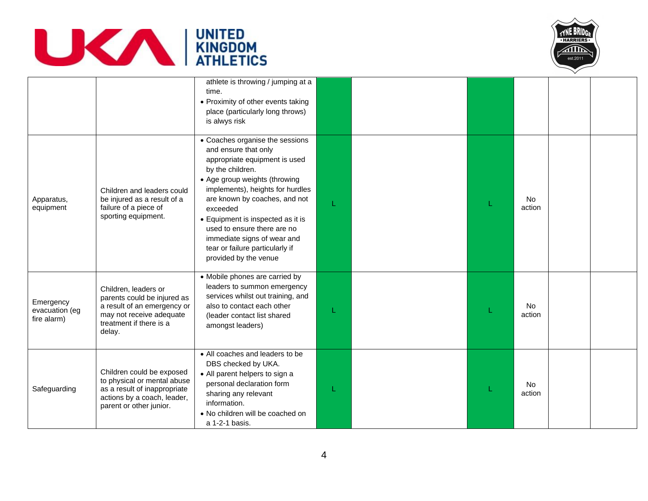



|                                            |                                                                                                                                                     | athlete is throwing / jumping at a<br>time.<br>• Proximity of other events taking<br>place (particularly long throws)<br>is alwys risk                                                                                                                                                                                                                                                        |   |  |                     |  |
|--------------------------------------------|-----------------------------------------------------------------------------------------------------------------------------------------------------|-----------------------------------------------------------------------------------------------------------------------------------------------------------------------------------------------------------------------------------------------------------------------------------------------------------------------------------------------------------------------------------------------|---|--|---------------------|--|
| Apparatus,<br>equipment                    | Children and leaders could<br>be injured as a result of a<br>failure of a piece of<br>sporting equipment.                                           | • Coaches organise the sessions<br>and ensure that only<br>appropriate equipment is used<br>by the children.<br>• Age group weights (throwing<br>implements), heights for hurdles<br>are known by coaches, and not<br>exceeded<br>• Equipment is inspected as it is<br>used to ensure there are no<br>immediate signs of wear and<br>tear or failure particularly if<br>provided by the venue | L |  | <b>No</b><br>action |  |
| Emergency<br>evacuation (eg<br>fire alarm) | Children, leaders or<br>parents could be injured as<br>a result of an emergency or<br>may not receive adequate<br>treatment if there is a<br>delay. | • Mobile phones are carried by<br>leaders to summon emergency<br>services whilst out training, and<br>also to contact each other<br>(leader contact list shared<br>amongst leaders)                                                                                                                                                                                                           | L |  | <b>No</b><br>action |  |
| Safeguarding                               | Children could be exposed<br>to physical or mental abuse<br>as a result of inappropriate<br>actions by a coach, leader,<br>parent or other junior.  | • All coaches and leaders to be<br>DBS checked by UKA.<br>• All parent helpers to sign a<br>personal declaration form<br>sharing any relevant<br>information.<br>• No children will be coached on<br>a 1-2-1 basis.                                                                                                                                                                           |   |  | <b>No</b><br>action |  |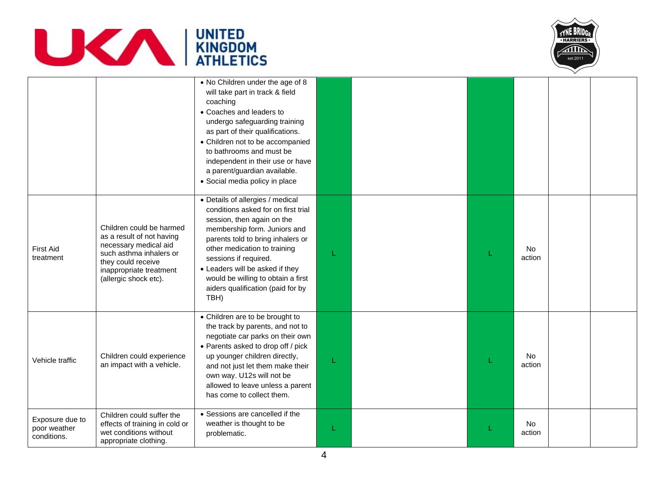



|                                                |                                                                                                                                                                                     | • No Children under the age of 8<br>will take part in track & field<br>coaching<br>• Coaches and leaders to<br>undergo safeguarding training<br>as part of their qualifications.<br>• Children not to be accompanied<br>to bathrooms and must be<br>independent in their use or have<br>a parent/guardian available.<br>• Social media policy in place    |   |  |                     |  |
|------------------------------------------------|-------------------------------------------------------------------------------------------------------------------------------------------------------------------------------------|-----------------------------------------------------------------------------------------------------------------------------------------------------------------------------------------------------------------------------------------------------------------------------------------------------------------------------------------------------------|---|--|---------------------|--|
| <b>First Aid</b><br>treatment                  | Children could be harmed<br>as a result of not having<br>necessary medical aid<br>such asthma inhalers or<br>they could receive<br>inappropriate treatment<br>(allergic shock etc). | • Details of allergies / medical<br>conditions asked for on first trial<br>session, then again on the<br>membership form. Juniors and<br>parents told to bring inhalers or<br>other medication to training<br>sessions if required.<br>• Leaders will be asked if they<br>would be willing to obtain a first<br>aiders qualification (paid for by<br>TBH) | L |  | <b>No</b><br>action |  |
| Vehicle traffic                                | Children could experience<br>an impact with a vehicle.                                                                                                                              | • Children are to be brought to<br>the track by parents, and not to<br>negotiate car parks on their own<br>• Parents asked to drop off / pick<br>up younger children directly,<br>and not just let them make their<br>own way. U12s will not be<br>allowed to leave unless a parent<br>has come to collect them.                                          | L |  | No<br>action        |  |
| Exposure due to<br>poor weather<br>conditions. | Children could suffer the<br>effects of training in cold or<br>wet conditions without<br>appropriate clothing.                                                                      | • Sessions are cancelled if the<br>weather is thought to be<br>problematic.                                                                                                                                                                                                                                                                               | L |  | No<br>action        |  |